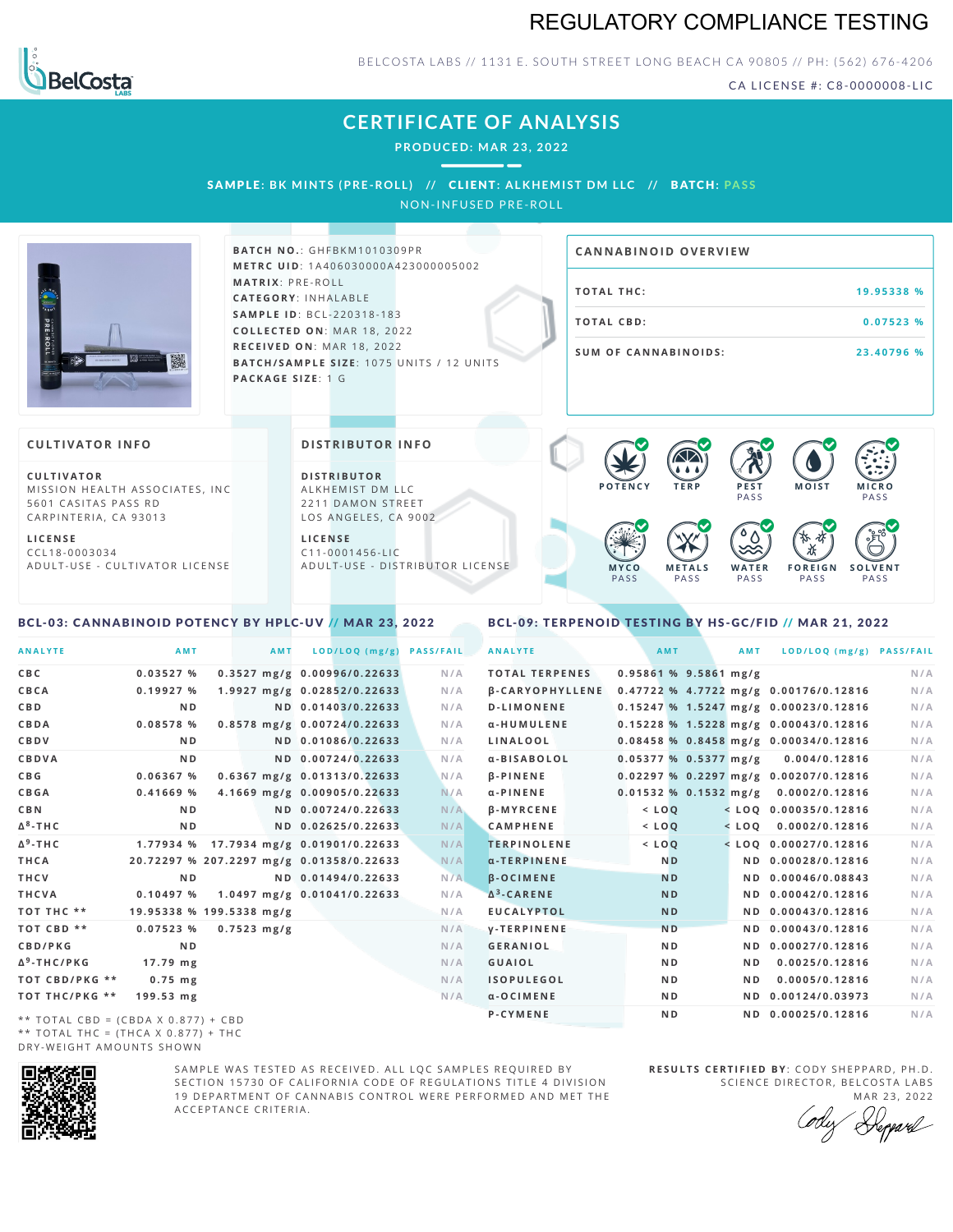# REGULATORY COMPLIANCE TESTING



BELCOSTA LABS // 1131 E. SOUTH STREET LONG BEACH CA 90805 // PH: (562) 676-4206

CA LICENSE #: C8-0000008-LIC

# **CERTIFICATE OF ANALYSIS**

**PRODUCED: MA R 23, 2022**

SAMPL E **: BK MINTS (PRE -ROL L ) //** CL I ENT**: A LKHEMI ST DM L LC //** BATCH**: PA S S**

NON-INFUSED PRE-ROLL



**BAT C H N O .**: G H F B K M 1 0 1 0 3 0 9 P R **M E T R C U ID** :1 A 4 0 6 0 3 0 0 0 0 A 4 2 3 0 0 0 0 0 5 0 0 2 **M AT R I X** :P R E - R O L L **CAT E G O R Y** : I N H A L A B L E **SA M P L E I D** :B C L - 2 2 0 3 1 8 - 1 8 3  $COLLECTED ON: MAR 18, 2022$ **R E C E I V E D O N** : M A R 1 8 ,2 0 2 2 **BATCH/SAMPLE SIZE:** 1075 UNITS / 12 UNITS **PAC KA G E S I Z E** : 1 G

# **T O TAL T H C :1 9 . 9 5 3 3 8 % T O TAL CB D :0 . 0 7 5 2 3 % S U M O F CA N N ABI N O I D S : 2 3 . 4 0 7 9 6 % CA N N ABI N OID OVERVI EW**

### **CULTIVATOR I N FO**

**C U L T I VAT O R** MISSION HEALTH ASSOCIATES, INC. 5601 CASITAS PASS RD CARPINTERIA, CA 93013

**L I C E N S E** C C L 1 8 - 0 0 0 3 0 3 4 A D U L T - U S E - C U L T I V A T O R L I C E N S E

<span id="page-0-0"></span>BCL-03: CANNABINOID POTENCY BY HPLC-UV // MAR 23, 2022

### **DI STRIBUTOR I N FO**

**D I S T R IB U T O R** ALKHEMIST DM LLC 2211 DAMON STREET LOS ANGELES, CA 9002

**L I C E N S E**  $C$  1 1 - 0 0 0 1 4 5 6 - L I C A D U L T - U S E - D I STRI B U T O R LICENSE



<span id="page-0-1"></span>BCL-09: TERPENOID TESTING BY HS-GC/FID // MAR 21, 2022

| <b>ANALYTE</b>                      | AMT                                      | <b>AMT</b>            | LOD/LOQ (mg/g)                         | <b>PASS/FAIL</b> | <b>ANALYTE</b>         |             | <b>AMT</b>              | <b>AMT</b> | LOD/LOQ (mg/g) PASS/FAIL              |     |
|-------------------------------------|------------------------------------------|-----------------------|----------------------------------------|------------------|------------------------|-------------|-------------------------|------------|---------------------------------------|-----|
| C B C                               | 0.03527%                                 |                       | $0.3527$ mg/g $0.00996/0.22633$        | N/A              | <b>TOTAL TERPENES</b>  |             | $0.95861$ % 9.5861 mg/g |            |                                       | N/A |
| CBCA                                | 0.19927%                                 |                       | 1.9927 mg/g 0.02852/0.22633            | N/A              | <b>B-CARYOPHYLLENE</b> |             |                         |            | 0.47722 % 4.7722 mg/g 0.00176/0.12816 | N/A |
| C B D                               | N <sub>D</sub>                           |                       | ND 0.01403/0.22633                     | N/A              | <b>D-LIMONENE</b>      |             |                         |            | 0.15247 % 1.5247 mg/g 0.00023/0.12816 | N/A |
| <b>CBDA</b>                         | 0.08578 %                                |                       | 0.8578 mg/g 0.00724/0.22633            | N/A              | α-HUMULENE             |             |                         |            | 0.15228 % 1.5228 mg/g 0.00043/0.12816 | N/A |
| <b>CBDV</b>                         | ND.                                      |                       | ND 0.01086/0.22633                     | N/A              | LINALOOL               |             |                         |            | 0.08458 % 0.8458 mg/g 0.00034/0.12816 | N/A |
| CBDVA                               | N <sub>D</sub>                           |                       | ND 0.00724/0.22633                     | N/A              | a-BISABOLOL            |             | 0.05377%0.5377mg/g      |            | 0.004/0.12816                         | N/A |
| C B G                               | 0.06367%                                 |                       | 0.6367 mg/g 0.01313/0.22633            | N/A              | <b>B-PINENE</b>        |             |                         |            | 0.02297 % 0.2297 mg/g 0.00207/0.12816 | N/A |
| <b>CBGA</b>                         | 0.41669%                                 |                       | 4.1669 mg/g 0.00905/0.22633            | N/A              | $\alpha$ -PINENE       |             |                         |            | 0.01532 % 0.1532 mg/g 0.0002/0.12816  | N/A |
| C B N                               | ND.                                      |                       | ND 0.00724/0.22633                     | N/A              | <b>B-MYRCENE</b>       | $<$ $L O Q$ |                         |            | $<$ LOQ 0.00035/0.12816               | N/A |
| Δ <sup>8</sup> -ΤΗ C                | N <sub>D</sub>                           |                       | ND 0.02625/0.22633                     | N/A              | <b>CAMPHENE</b>        | $<$ $LOQ$   |                         |            | $<$ LOQ 0.0002/0.12816                | N/A |
| Δ <sup>9</sup> -ΤΗ C                |                                          |                       | 1.77934 % 17.7934 mg/g 0.01901/0.22633 | N/A              | <b>TERPINOLENE</b>     | $<$ $LOQ$   |                         |            | $<$ LOO 0.00027/0.12816               | N/A |
| THCA                                | 20.72297 % 207.2297 mg/g 0.01358/0.22633 |                       |                                        | N/A              | $\alpha$ -TERPINENE    |             | N <sub>D</sub>          |            | ND 0.00028/0.12816                    | N/A |
| THCV                                | N <sub>D</sub>                           |                       | ND 0.01494/0.22633                     | N/A              | <b>B-OCIMENE</b>       |             | <b>ND</b>               |            | ND 0.00046/0.08843                    | N/A |
| THCVA                               | 0.10497%                                 |                       | 1.0497 mg/g 0.01041/0.22633            | N/A              | $\Delta^3$ -CARENE     |             | <b>ND</b>               |            | ND 0.00042/0.12816                    | N/A |
| тот тнс **                          | 19.95338 % 199.5338 mg/g                 |                       |                                        | N/A              | <b>EUCALYPTOL</b>      |             | <b>ND</b>               |            | ND 0.00043/0.12816                    | N/A |
| TOT CBD **                          | 0.07523%                                 | $0.7523 \text{ mg/g}$ |                                        | N/A              | <b>V-TERPINENE</b>     |             | N <sub>D</sub>          |            | ND 0.00043/0.12816                    | N/A |
| <b>CBD/PKG</b>                      | N <sub>D</sub>                           |                       |                                        | N/A              | <b>GERANIOL</b>        |             | N <sub>D</sub>          |            | ND 0.00027/0.12816                    | N/A |
| Δ <sup>9</sup> -THC/PKG             | $17.79$ mg                               |                       |                                        | N/A              | <b>GUAIOL</b>          |             | N <sub>D</sub>          | ND.        | 0.0025/0.12816                        | N/A |
| ТОТ СВD/РКG **                      | $0.75$ mg                                |                       |                                        | N/A              | <b>ISOPULEGOL</b>      |             | N <sub>D</sub>          | ND.        | 0.0005/0.12816                        | N/A |
| ТОТ ТНС/РКG **                      | $199.53$ mg                              |                       |                                        | N/A              | $\alpha$ -OCIMENE      |             | N D                     |            | ND 0.00124/0.03973                    | N/A |
| ** TOTAL CBD = (CBDA X 0.877) + CBD |                                          |                       |                                        |                  | P-CYMENE               |             | N <sub>D</sub>          |            | ND 0.00025/0.12816                    | N/A |
|                                     |                                          |                       |                                        |                  |                        |             |                         |            |                                       |     |

\*\* TOTAL CBD = (CBDA X 0.877) + CBD \*\* TOTAL THC =  $(THCA X 0.877) + THC$ DRY-WEIGHT AMOUNTS SHOWN



SAMPLE WAS TESTED AS RECEIVED. ALL LOC SAMPLES REQUIRED BY SECTION 15730 OF CALIFORNIA CODE OF REGULATIONS TITLE 4 DIVISION 19 DEPARTMENT OF CANNABIS CONTROL WERE PERFORMED AND MET THE A C C E P T A N C E C R I T E R I A .

**R E S U L T S C E R T I F I E D BY** : C O D Y S H E P P A R D ,P H .D . SCIENCE DIRECTOR, BELCOSTA LABS

MAR 23, 2022 Heppard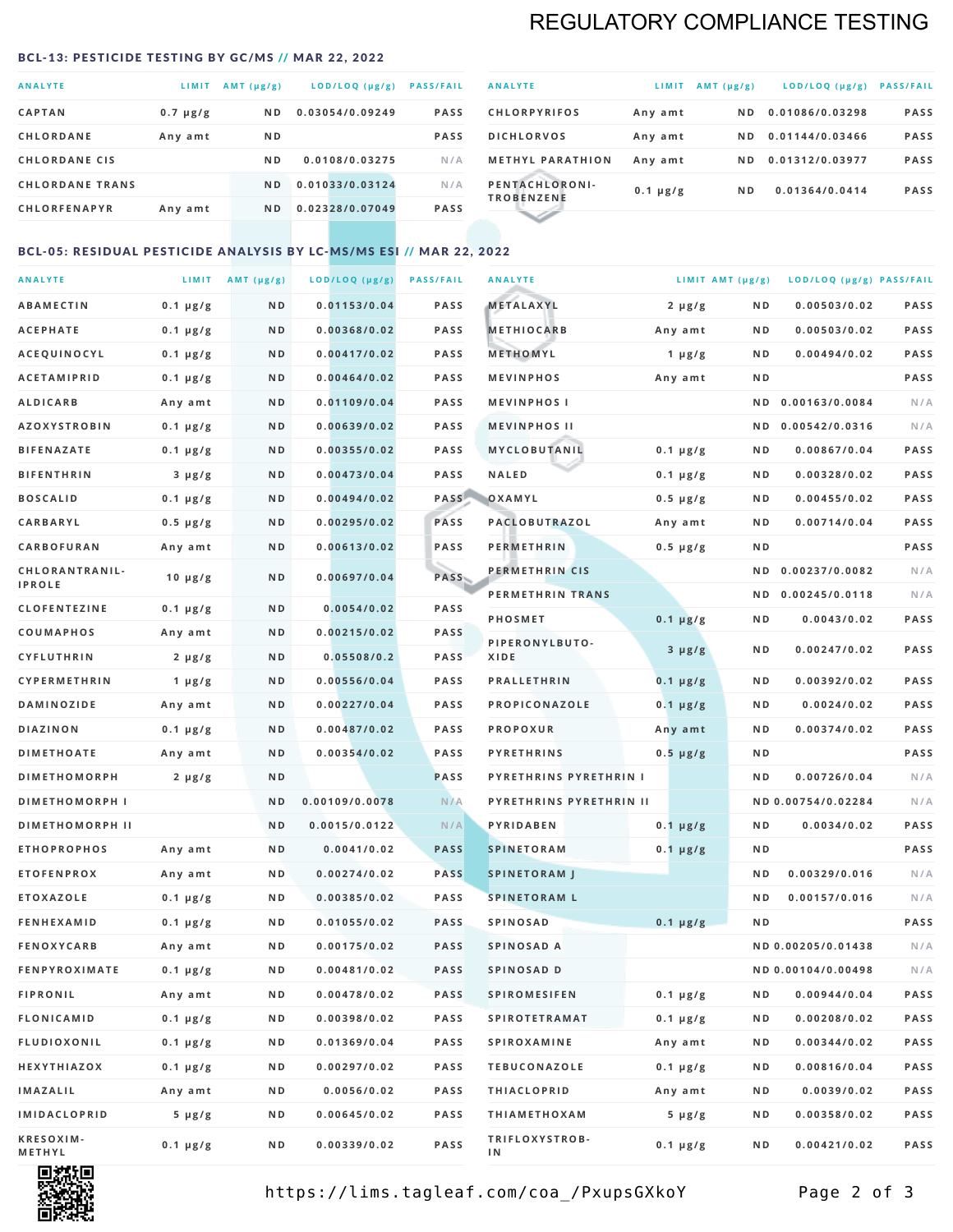# REGULATORY COMPLIANCE TESTING

### <span id="page-1-0"></span>BCL-13: PESTICIDE TESTING BY GC/MS // MAR 22, 2022

| <b>ANALYTE</b>         | LIMIT         | $AMT(\mu g/g)$ | LOD/LOQ (µg/g)  | <b>PASS/FAIL</b> |
|------------------------|---------------|----------------|-----------------|------------------|
| <b>CAPTAN</b>          | $0.7 \mu g/g$ | ND.            | 0.03054/0.09249 | <b>PASS</b>      |
| <b>CHLORDANE</b>       | Any amt       | N <sub>D</sub> |                 | <b>PASS</b>      |
| <b>CHLORDANE CIS</b>   |               | N <sub>D</sub> | 0.0108/0.03275  | N/A              |
| <b>CHLORDANE TRANS</b> |               | N <sub>D</sub> | 0.01033/0.03124 | N/A              |
| <b>CHLORFENAPYR</b>    | Any amt       | N <sub>D</sub> | 0.02328/0.07049 | <b>PASS</b>      |

| <b>ANALYTE</b>                      | LIMIT         | $AMT (\mu g/g)$ | $LOD/LOQ$ ( $\mu g/g$ ) | <b>PASS/FAIL</b> |
|-------------------------------------|---------------|-----------------|-------------------------|------------------|
| <b>CHLORPYRIFOS</b>                 | Any amt       | ND.             | 0.01086/0.03298         | <b>PASS</b>      |
| <b>DICHLORVOS</b>                   | Any amt       | ND.             | 0.01144/0.03466         | <b>PASS</b>      |
| <b>METHYL PARATHION</b>             | Any amt       | ND.             | 0.01312/0.03977         | <b>PASS</b>      |
| PENTACHLORONI-<br><b>TROBENZENE</b> | $0.1 \mu g/g$ | ND.             | 0.01364/0.0414          | <b>PASS</b>      |
|                                     |               |                 |                         |                  |

### BCL-05: RESIDUAL PESTICIDE ANALYSIS BY LC-MS/MS ESI // MAR 22, 2022

| <b>ANALYTE</b>             |               | LIMIT $AMT(\mu g/g)$ | LOD/LOQ (µg/g) | <b>PASS/FAIL</b> | <b>ANALYTE</b>                | LIMIT AMT (µg/g) |                | LOD/LOQ (µg/g) PASS/FAIL |             |
|----------------------------|---------------|----------------------|----------------|------------------|-------------------------------|------------------|----------------|--------------------------|-------------|
| <b>ABAMECTIN</b>           | $0.1 \mu g/g$ | N D                  | 0.01153/0.04   | <b>PASS</b>      | <b>METALAXYL</b>              | $2 \mu g/g$      | N D            | 0.00503/0.02             | PASS        |
| <b>ACEPHATE</b>            | $0.1 \mu g/g$ | N D                  | 0.00368/0.02   | <b>PASS</b>      | <b>METHIOCARB</b>             | Any amt          | N D            | 0.00503/0.02             | PASS        |
| ACEQUINOCYL                | $0.1 \mu g/g$ | ND                   | 0.00417/0.02   | <b>PASS</b>      | METHOMYL                      | $1 \mu g/g$      | N D            | 0.00494/0.02             | PASS        |
| <b>ACETAMIPRID</b>         | $0.1 \mu g/g$ | N D                  | 0.00464/0.02   | <b>PASS</b>      | <b>MEVINPHOS</b>              | Any amt          | N D            |                          | PASS        |
| <b>ALDICARB</b>            | Any amt       | N D                  | 0.01109/0.04   | PASS             | <b>MEVINPHOSI</b>             |                  | N D            | 0.00163/0.0084           | N/A         |
| <b>AZOXYSTROBIN</b>        | $0.1 \mu g/g$ | N D                  | 0.00639/0.02   | <b>PASS</b>      | <b>MEVINPHOS II</b>           |                  | N D            | 0.00542/0.0316           | N/A         |
| <b>BIFENAZATE</b>          | $0.1 \mu g/g$ | N D                  | 0.00355/0.02   | <b>PASS</b>      | MYCLOBUTANIL                  | $0.1 \mu g/g$    | N D            | 0.00867/0.04             | PASS        |
| <b>BIFENTHRIN</b>          | $3 \mu g/g$   | N D                  | 0.00473/0.04   | <b>PASS</b>      | <b>NALED</b>                  | $0.1 \mu g/g$    | N D            | 0.00328/0.02             | PASS        |
| <b>BOSCALID</b>            | $0.1 \mu g/g$ | N D                  | 0.00494/0.02   | PASS             | OXAMYL                        | $0.5 \mu g/g$    | N D            | 0.00455/0.02             | PASS        |
| CARBARYL                   | $0.5 \mu g/g$ | N D                  | 0.00295/0.02   | PASS             | PACLOBUTRAZOL                 | Any amt          | N D            | 0.00714/0.04             | PASS        |
| <b>CARBOFURAN</b>          | Any amt       | N D                  | 0.00613/0.02   | <b>PASS</b>      | <b>PERMETHRIN</b>             | $0.5 \mu g/g$    | N D            |                          | <b>PASS</b> |
| CHLORANTRANIL-             | 10 $\mu$ g/g  | N D                  | 0.00697/0.04   | PASS             | PERMETHRIN CIS                |                  | N D            | 0.00237/0.0082           | N/A         |
| <b>IPROLE</b>              |               |                      |                |                  | PERMETHRIN TRANS              |                  |                | ND 0.00245/0.0118        | N/A         |
| <b>CLOFENTEZINE</b>        | $0.1 \mu g/g$ | N D                  | 0.0054/0.02    | <b>PASS</b>      | <b>PHOSMET</b>                | $0.1 \mu g/g$    | N D            | 0.0043/0.02              | PASS        |
| COUMAPHOS                  | Any amt       | N D                  | 0.00215/0.02   | <b>PASS</b>      | PIPERONYLBUTO-                | $3 \mu g/g$      | N D            | 0.00247/0.02             | PASS        |
| <b>CYFLUTHRIN</b>          | $2 \mu g/g$   | N D                  | 0.05508/0.2    | <b>PASS</b>      | XIDE                          |                  |                |                          |             |
| <b>CYPERMETHRIN</b>        | 1 $\mu$ g/g   | N D                  | 0.00556/0.04   | <b>PASS</b>      | <b>PRALLETHRIN</b>            | $0.1 \mu g/g$    | N D            | 0.00392/0.02             | PASS        |
| <b>DAMINOZIDE</b>          | Any amt       | N D                  | 0.00227/0.04   | <b>PASS</b>      | PROPICONAZOLE                 | $0.1 \mu g/g$    | N D            | 0.0024/0.02              | PASS        |
| <b>DIAZINON</b>            | $0.1 \mu g/g$ | N D                  | 0.00487/0.02   | PASS             | <b>PROPOXUR</b>               | Any amt          | N D            | 0.00374/0.02             | <b>PASS</b> |
| <b>DIMETHOATE</b>          | Any amt       | N D                  | 0.00354/0.02   | <b>PASS</b>      | <b>PYRETHRINS</b>             | $0.5 \mu g/g$    | N D            |                          | PASS        |
| <b>DIMETHOMORPH</b>        | $2 \mu g/g$   | ND                   |                | <b>PASS</b>      | <b>PYRETHRINS PYRETHRIN I</b> |                  | ND             | 0.00726/0.04             | N/A         |
| <b>DIMETHOMORPH I</b>      |               | N D                  | 0.00109/0.0078 | N/A              | PYRETHRINS PYRETHRIN II       |                  |                | ND 0.00754/0.02284       | N/A         |
| <b>DIMETHOMORPH II</b>     |               | ND                   | 0.0015/0.0122  | N/A              | PYRIDABEN                     | $0.1 \mu g/g$    | N D            | 0.0034/0.02              | PASS        |
| <b>ETHOPROPHOS</b>         | Any amt       | N D                  | 0.0041/0.02    | <b>PASS</b>      | <b>SPINETORAM</b>             | $0.1 \mu g/g$    | N D            |                          | PASS        |
| <b>ETOFENPROX</b>          | Any amt       | N D                  | 0.00274/0.02   | <b>PASS</b>      | <b>SPINETORAM J</b>           |                  | N D            | 0.00329/0.016            | N/A         |
| <b>ETOXAZOLE</b>           | $0.1 \mu g/g$ | N D                  | 0.00385/0.02   | <b>PASS</b>      | <b>SPINETORAM L</b>           |                  | N <sub>D</sub> | 0.00157/0.016            | N/A         |
| <b>FENHEXAMID</b>          | $0.1 \mu g/g$ | N D                  | 0.01055/0.02   | <b>PASS</b>      | <b>SPINOSAD</b>               | $0.1 \mu g/g$    | ND             |                          | PASS        |
| <b>FENOXYCARB</b>          | Any amt       | N D                  | 0.00175/0.02   | <b>PASS</b>      | SPINOSAD A                    |                  |                | ND 0.00205/0.01438       | N/A         |
| <b>FENPYROXIMATE</b>       | $0.1 \mu g/g$ | N D                  | 0.00481/0.02   | <b>PASS</b>      | SPINOSAD D                    |                  |                | ND 0.00104/0.00498       | N/A         |
| <b>FIPRONIL</b>            | Any amt       | N D                  | 0.00478/0.02   | <b>PASS</b>      | <b>SPIROMESIFEN</b>           | $0.1 \mu g/g$    | N D            | 0.00944/0.04             | PASS        |
| <b>FLONICAMID</b>          | $0.1 \mu g/g$ | N D                  | 0.00398/0.02   | PASS             | <b>SPIROTETRAMAT</b>          | $0.1 \mu g/g$    | N D            | 0.00208/0.02             | PASS        |
| FLUDIOXONIL                | $0.1 \mu g/g$ | N D                  | 0.01369/0.04   | PASS             | SPIROXAMINE                   | Any amt          | N D            | 0.00344/0.02             | PASS        |
| HEXYTHIAZOX                | $0.1 \mu g/g$ | N D                  | 0.00297/0.02   | PASS             | <b>TEBUCONAZOLE</b>           | $0.1 \mu g/g$    | N D            | 0.00816/0.04             | PASS        |
| IMAZALIL                   | Any amt       | N D                  | 0.0056/0.02    | PASS             | <b>THIACLOPRID</b>            | Any amt          | N D            | 0.0039/0.02              | PASS        |
| <b>IMIDACLOPRID</b>        | $5 \mu g/g$   | N D                  | 0.00645/0.02   | PASS             | <b>THIAMETHOXAM</b>           | $5 \mu g/g$      | N D            | 0.00358/0.02             | PASS        |
| <b>KRESOXIM-</b><br>METHYL | $0.1 \mu g/g$ | N D                  | 0.00339/0.02   | PASS             | TRIFLOXYSTROB-<br>ΙN          | $0.1 \mu g/g$    | N D            | 0.00421/0.02             | PASS        |